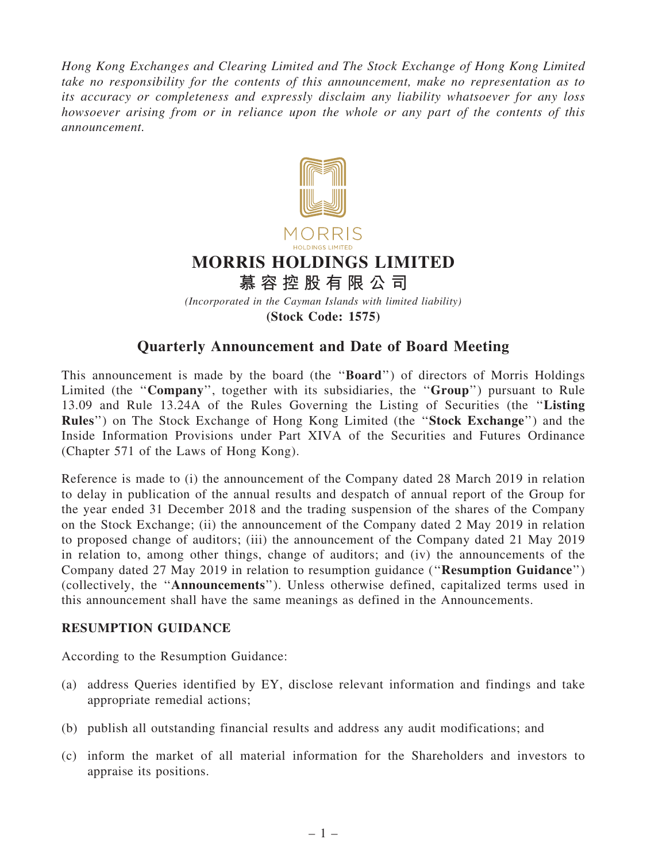Hong Kong Exchanges and Clearing Limited and The Stock Exchange of Hong Kong Limited take no responsibility for the contents of this announcement, make no representation as to its accuracy or completeness and expressly disclaim any liability whatsoever for any loss howsoever arising from or in reliance upon the whole or any part of the contents of this announcement.



(Stock Code: 1575)

# Quarterly Announcement and Date of Board Meeting

This announcement is made by the board (the ''Board'') of directors of Morris Holdings Limited (the "Company", together with its subsidiaries, the "Group") pursuant to Rule 13.09 and Rule 13.24A of the Rules Governing the Listing of Securities (the ''Listing Rules'') on The Stock Exchange of Hong Kong Limited (the ''Stock Exchange'') and the Inside Information Provisions under Part XIVA of the Securities and Futures Ordinance (Chapter 571 of the Laws of Hong Kong).

Reference is made to (i) the announcement of the Company dated 28 March 2019 in relation to delay in publication of the annual results and despatch of annual report of the Group for the year ended 31 December 2018 and the trading suspension of the shares of the Company on the Stock Exchange; (ii) the announcement of the Company dated 2 May 2019 in relation to proposed change of auditors; (iii) the announcement of the Company dated 21 May 2019 in relation to, among other things, change of auditors; and (iv) the announcements of the Company dated 27 May 2019 in relation to resumption guidance (''Resumption Guidance'') (collectively, the ''Announcements''). Unless otherwise defined, capitalized terms used in this announcement shall have the same meanings as defined in the Announcements.

### RESUMPTION GUIDANCE

According to the Resumption Guidance:

- (a) address Queries identified by EY, disclose relevant information and findings and take appropriate remedial actions;
- (b) publish all outstanding financial results and address any audit modifications; and
- (c) inform the market of all material information for the Shareholders and investors to appraise its positions.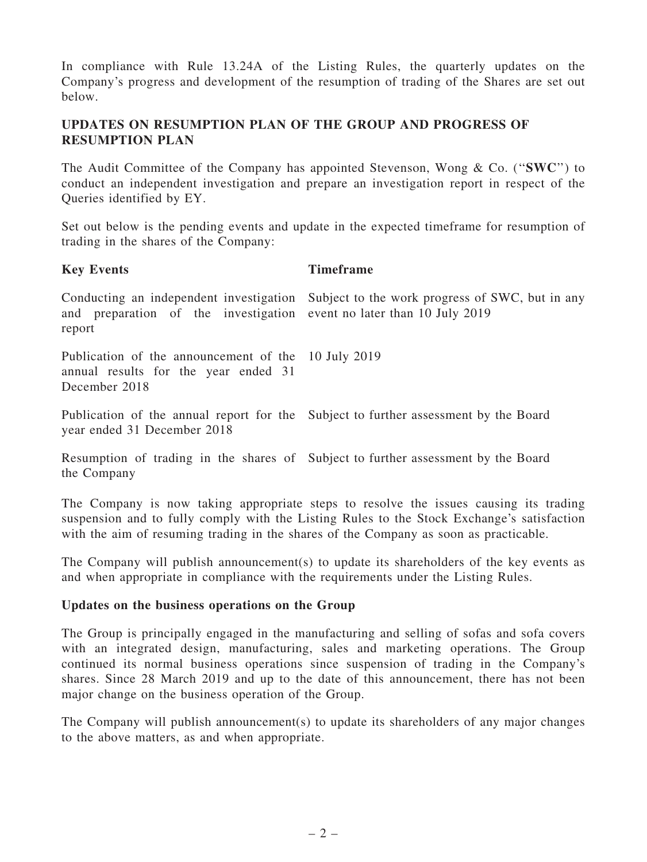In compliance with Rule 13.24A of the Listing Rules, the quarterly updates on the Company's progress and development of the resumption of trading of the Shares are set out below.

# UPDATES ON RESUMPTION PLAN OF THE GROUP AND PROGRESS OF RESUMPTION PLAN

The Audit Committee of the Company has appointed Stevenson, Wong & Co. ("SWC") to conduct an independent investigation and prepare an investigation report in respect of the Queries identified by EY.

Set out below is the pending events and update in the expected timeframe for resumption of trading in the shares of the Company:

### Key Events Timeframe

Conducting an independent investigation and preparation of the investigation report Subject to the work progress of SWC, but in any event no later than 10 July 2019 Publication of the announcement of the 10 July 2019 annual results for the year ended 31 December 2018

Publication of the annual report for the Subject to further assessment by the Board year ended 31 December 2018

Resumption of trading in the shares of Subject to further assessment by the Board the Company

The Company is now taking appropriate steps to resolve the issues causing its trading suspension and to fully comply with the Listing Rules to the Stock Exchange's satisfaction with the aim of resuming trading in the shares of the Company as soon as practicable.

The Company will publish announcement(s) to update its shareholders of the key events as and when appropriate in compliance with the requirements under the Listing Rules.

### Updates on the business operations on the Group

The Group is principally engaged in the manufacturing and selling of sofas and sofa covers with an integrated design, manufacturing, sales and marketing operations. The Group continued its normal business operations since suspension of trading in the Company's shares. Since 28 March 2019 and up to the date of this announcement, there has not been major change on the business operation of the Group.

The Company will publish announcement(s) to update its shareholders of any major changes to the above matters, as and when appropriate.